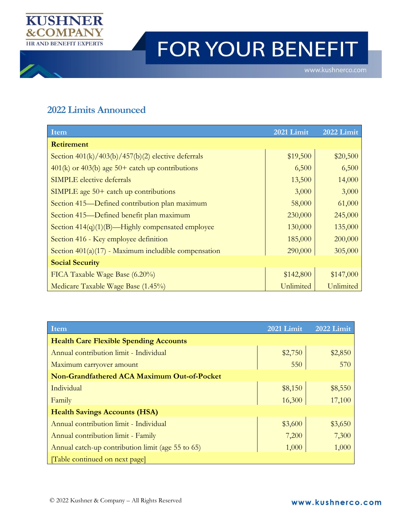

## FOR YOUR BENEFIT

## **2022 Limits Announced**

| <b>Item</b>                                            | 2021 Limit | 2022 Limit |
|--------------------------------------------------------|------------|------------|
| <b>Retirement</b>                                      |            |            |
| Section $401(k)/403(b)/457(b)(2)$ elective deferrals   | \$19,500   | \$20,500   |
| $401(k)$ or 403(b) age 50+ catch up contributions      | 6,500      | 6,500      |
| <b>SIMPLE</b> elective deferrals                       | 13,500     | 14,000     |
| SIMPLE age $50+$ catch up contributions                | 3,000      | 3,000      |
| Section 415—Defined contribution plan maximum          | 58,000     | 61,000     |
| Section 415—Defined benefit plan maximum               | 230,000    | 245,000    |
| Section $414(q)(1)(B)$ —Highly compensated employee    | 130,000    | 135,000    |
| Section 416 - Key employee definition                  | 185,000    | 200,000    |
| Section $401(a)(17)$ - Maximum includible compensation | 290,000    | 305,000    |
| <b>Social Security</b>                                 |            |            |
| FICA Taxable Wage Base (6.20%)                         | \$142,800  | \$147,000  |
| Medicare Taxable Wage Base (1.45%)                     | Unlimited  | Unlimited  |

| Item                                              | 2021 Limit | 2022 Limit |
|---------------------------------------------------|------------|------------|
| <b>Health Care Flexible Spending Accounts</b>     |            |            |
| Annual contribution limit - Individual            | \$2,750    | \$2,850    |
| Maximum carryover amount                          | 550        | 570        |
| Non-Grandfathered ACA Maximum Out-of-Pocket       |            |            |
| Individual                                        | \$8,150    | \$8,550    |
| Family                                            | 16,300     | 17,100     |
| <b>Health Savings Accounts (HSA)</b>              |            |            |
| Annual contribution limit - Individual            | \$3,600    | \$3,650    |
| Annual contribution limit - Family                | 7,200      | 7,300      |
| Annual catch-up contribution limit (age 55 to 65) | 1,000      | 1,000      |
| [Table continued on next page]                    |            |            |